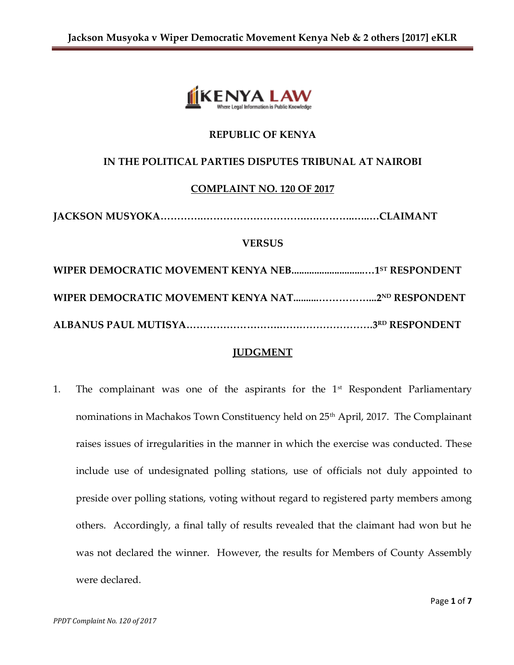

# **REPUBLIC OF KENYA**

## **IN THE POLITICAL PARTIES DISPUTES TRIBUNAL AT NAIROBI**

### **COMPLAINT NO. 120 OF 2017**

```
JACKSON MUSYOKA………….………………………….….………..…..…CLAIMANT
```
#### **VERSUS**

| WIPER DEMOCRATIC MOVEMENT KENYA NEB1 <sup>5T</sup> RESPONDENT |  |
|---------------------------------------------------------------|--|
|                                                               |  |
|                                                               |  |

## **JUDGMENT**

1. The complainant was one of the aspirants for the  $1<sup>st</sup>$  Respondent Parliamentary nominations in Machakos Town Constituency held on 25<sup>th</sup> April, 2017. The Complainant raises issues of irregularities in the manner in which the exercise was conducted. These include use of undesignated polling stations, use of officials not duly appointed to preside over polling stations, voting without regard to registered party members among others. Accordingly, a final tally of results revealed that the claimant had won but he was not declared the winner. However, the results for Members of County Assembly were declared.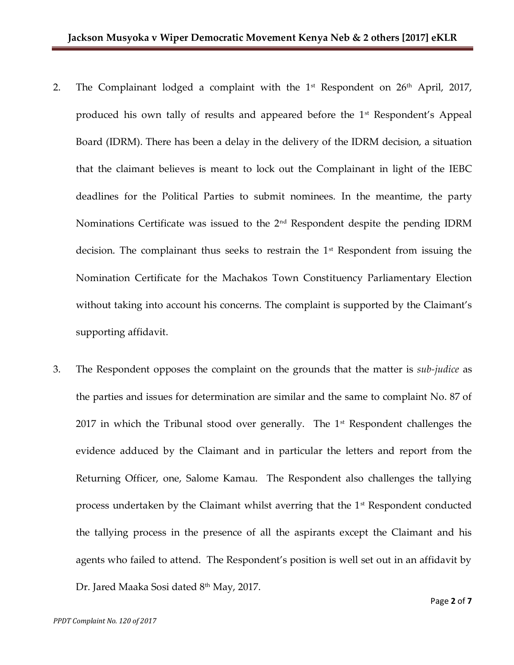- 2. The Complainant lodged a complaint with the  $1<sup>st</sup>$  Respondent on  $26<sup>th</sup>$  April, 2017, produced his own tally of results and appeared before the  $1<sup>st</sup>$  Respondent's Appeal Board (IDRM). There has been a delay in the delivery of the IDRM decision, a situation that the claimant believes is meant to lock out the Complainant in light of the IEBC deadlines for the Political Parties to submit nominees. In the meantime, the party Nominations Certificate was issued to the 2nd Respondent despite the pending IDRM decision. The complainant thus seeks to restrain the  $1<sup>st</sup>$  Respondent from issuing the Nomination Certificate for the Machakos Town Constituency Parliamentary Election without taking into account his concerns. The complaint is supported by the Claimant's supporting affidavit.
- 3. The Respondent opposes the complaint on the grounds that the matter is *sub-judice* as the parties and issues for determination are similar and the same to complaint No. 87 of 2017 in which the Tribunal stood over generally. The  $1<sup>st</sup>$  Respondent challenges the evidence adduced by the Claimant and in particular the letters and report from the Returning Officer, one, Salome Kamau. The Respondent also challenges the tallying process undertaken by the Claimant whilst averring that the 1<sup>st</sup> Respondent conducted the tallying process in the presence of all the aspirants except the Claimant and his agents who failed to attend. The Respondent's position is well set out in an affidavit by Dr. Jared Maaka Sosi dated 8<sup>th</sup> May, 2017.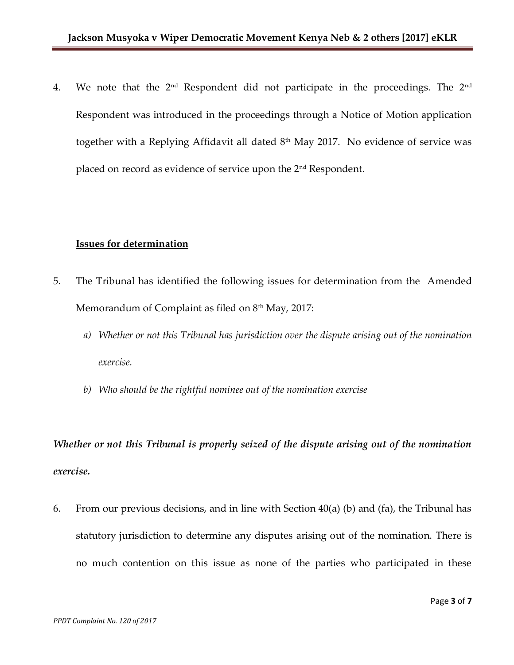4. We note that the 2<sup>nd</sup> Respondent did not participate in the proceedings. The 2<sup>nd</sup> Respondent was introduced in the proceedings through a Notice of Motion application together with a Replying Affidavit all dated  $8<sup>th</sup>$  May 2017. No evidence of service was placed on record as evidence of service upon the 2nd Respondent.

#### **Issues for determination**

- 5. The Tribunal has identified the following issues for determination from the Amended Memorandum of Complaint as filed on 8<sup>th</sup> May, 2017:
	- *a) Whether or not this Tribunal has jurisdiction over the dispute arising out of the nomination exercise.*
	- *b) Who should be the rightful nominee out of the nomination exercise*

*Whether or not this Tribunal is properly seized of the dispute arising out of the nomination exercise.*

6. From our previous decisions, and in line with Section 40(a) (b) and (fa), the Tribunal has statutory jurisdiction to determine any disputes arising out of the nomination. There is no much contention on this issue as none of the parties who participated in these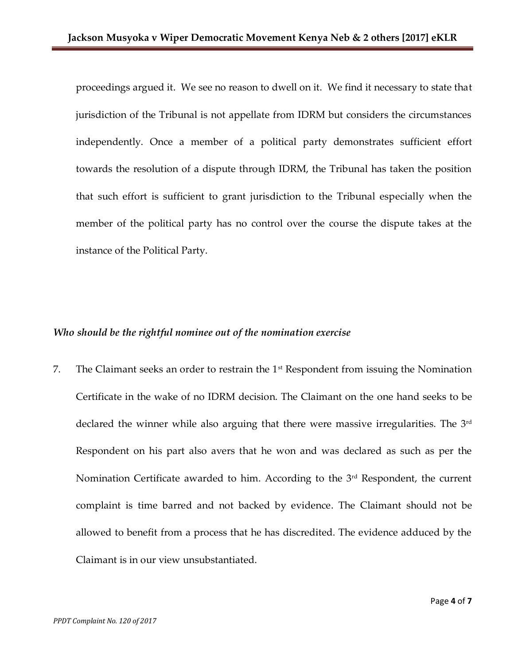proceedings argued it. We see no reason to dwell on it. We find it necessary to state that jurisdiction of the Tribunal is not appellate from IDRM but considers the circumstances independently. Once a member of a political party demonstrates sufficient effort towards the resolution of a dispute through IDRM, the Tribunal has taken the position that such effort is sufficient to grant jurisdiction to the Tribunal especially when the member of the political party has no control over the course the dispute takes at the instance of the Political Party.

### *Who should be the rightful nominee out of the nomination exercise*

7. The Claimant seeks an order to restrain the 1st Respondent from issuing the Nomination Certificate in the wake of no IDRM decision. The Claimant on the one hand seeks to be declared the winner while also arguing that there were massive irregularities. The 3<sup>rd</sup> Respondent on his part also avers that he won and was declared as such as per the Nomination Certificate awarded to him. According to the 3<sup>rd</sup> Respondent, the current complaint is time barred and not backed by evidence. The Claimant should not be allowed to benefit from a process that he has discredited. The evidence adduced by the Claimant is in our view unsubstantiated.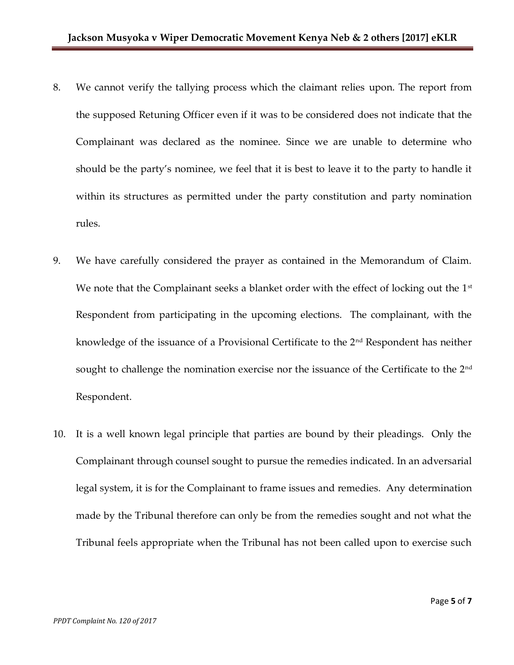- 8. We cannot verify the tallying process which the claimant relies upon. The report from the supposed Retuning Officer even if it was to be considered does not indicate that the Complainant was declared as the nominee. Since we are unable to determine who should be the party's nominee, we feel that it is best to leave it to the party to handle it within its structures as permitted under the party constitution and party nomination rules.
- 9. We have carefully considered the prayer as contained in the Memorandum of Claim. We note that the Complainant seeks a blanket order with the effect of locking out the  $1<sup>st</sup>$ Respondent from participating in the upcoming elections. The complainant, with the knowledge of the issuance of a Provisional Certificate to the 2<sup>nd</sup> Respondent has neither sought to challenge the nomination exercise nor the issuance of the Certificate to the 2<sup>nd</sup> Respondent.
- 10. It is a well known legal principle that parties are bound by their pleadings. Only the Complainant through counsel sought to pursue the remedies indicated. In an adversarial legal system, it is for the Complainant to frame issues and remedies. Any determination made by the Tribunal therefore can only be from the remedies sought and not what the Tribunal feels appropriate when the Tribunal has not been called upon to exercise such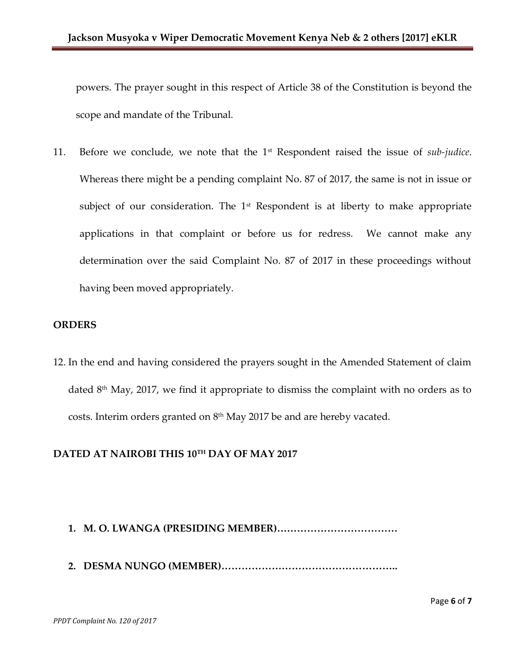powers. The prayer sought in this respect of Article 38 of the Constitution is beyond the scope and mandate of the Tribunal.

11. Before we conclude, we note that the 1st Respondent raised the issue of *sub-judice*. Whereas there might be a pending complaint No. 87 of 2017, the same is not in issue or subject of our consideration. The  $1<sup>st</sup>$  Respondent is at liberty to make appropriate applications in that complaint or before us for redress. We cannot make any determination over the said Complaint No. 87 of 2017 in these proceedings without having been moved appropriately.

## **ORDERS**

12. In the end and having considered the prayers sought in the Amended Statement of claim dated 8<sup>th</sup> May, 2017, we find it appropriate to dismiss the complaint with no orders as to costs. Interim orders granted on 8<sup>th</sup> May 2017 be and are hereby vacated.

## **DATED AT NAIROBI THIS 10TH DAY OF MAY 2017**

# **1. M. O. LWANGA (PRESIDING MEMBER)………………………………**

**2. DESMA NUNGO (MEMBER)……………………………………………..**